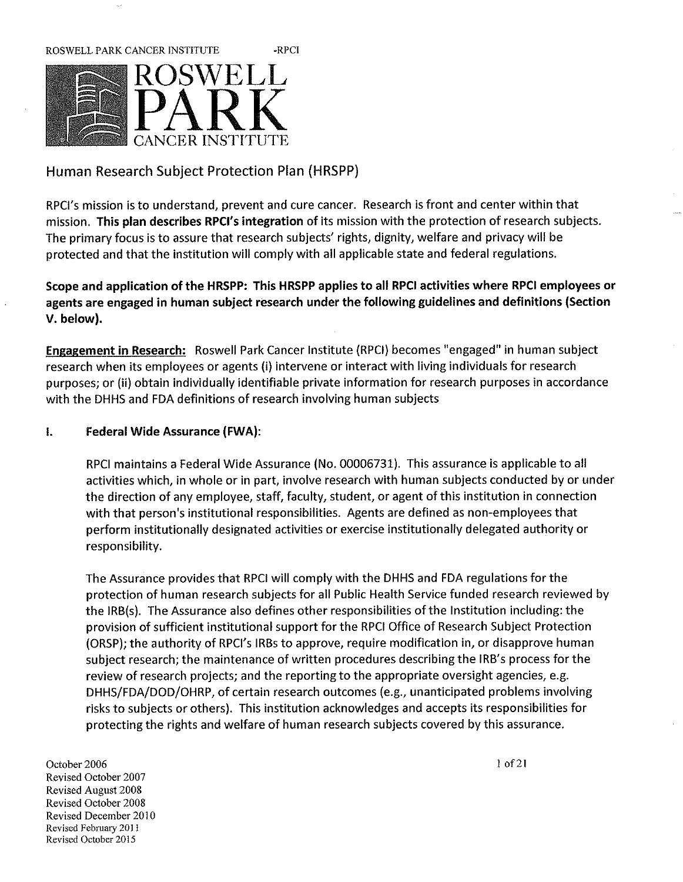

# Human Research Subject Protection Plan (HRSPP)

RPCI's mission is to understand, prevent and cure cancer. Research is front and center within that mission. This plan describes RPCI's integration of its mission with the protection of research subjects. The primary focus is to assure that research subjects' rights, dignity, welfare and privacy will be rotected and that the institution will comply with all applicable state and federal regulations.

Scope and application of the HRSPP: This HRSPP applies to all RPCI activities where RPCI employees or agents are engaged in human subject research under the following guidelines and definitions (Section V. below).

Engagement in Research: Roswell Park Cancer Institute (RPCI) becomes "engaged" in human subject research when its employees or agents (i) intervene or interact with living individuals for research purposes; or (ii) obtain individually identifiable private information for research purposes in accordance with the DHHS and FDA definitions of research involving human subjects

# I. Federal Wide Assurance (FWA):

RPCI maintains a Federal Wide Assurance (No. 00006731). This assurance is applicable to all activities which, in whole or in part, involve research with human subjects conducted by or under the direction of any employee, staff, faculty, student, or agent of this institution in connection with that person's institutional responsibilities. Agents are defined as non-employees that perform institutionally designated activities or exercise institutionally delegated authority or responsibility.

The Assurance provides that RPCI will comply with the DHHS and FDA regulations for the protection of human research subjects for all Public Health Service funded research reviewed by the IRB(s). The Assurance also defines other responsibilities of the Institution including: the provision of sufficient institutional support for the RPCI Office of Research Subject Protection (ORSP); the authority of RPCI's IRBs to approve, require modification in, or disapprove human subject research; the maintenance of written procedures describing the IRB's process for the review of research projects; and the reporting to the appropriate oversight agencies, e.g. DHHS/FDA/DOD/OHRP, of certain research outcomes (e.g., unanticipated problems involving risks to subjects or others). This institution acknowledges and accepts its responsibilities for protecting the rights and welfare of human research subjects covered by this assurance. Protecting the rights and weitare of numan research subjects covered by this use<br>October 2006<br>Povieed October 2007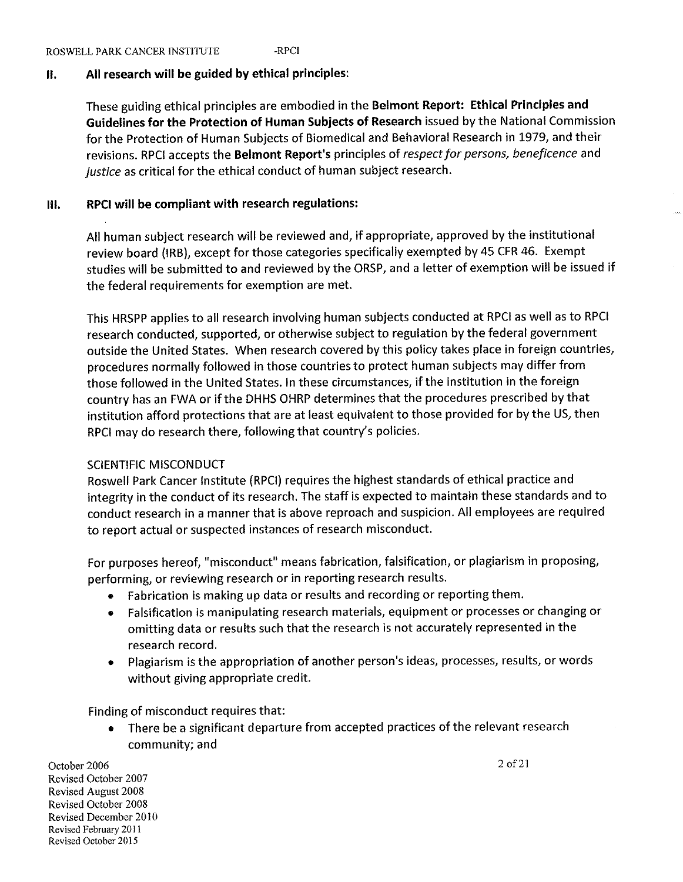# II. All research will be guided by ethical principles:

These guiding ethical principles are embodied in the Belmont Report: Ethical Principles and Guidelines for the Protection of Human Subjects of Research issued by the National Commission for the Protection of Human Subjects of Biomedical and Behavioral Research in 1979, and their revisions. RPCI accepts the Belmont Report's principles of respect for persons, beneficence and justice as critical for the ethical conduct of human subject research.

# III. RPCI will be compliant with research regulations:

All human subject research will be reviewed and, if appropriate, approved by the institutional review board (IRB), except for those categories specifically exempted by 45 CFR 46. Exempt studies will be submitted to and reviewed by the ORSP, and a letter of exemption will be issued if the federal requirements for exemption are met.

This HRSPP applies to all research involving human subjects conducted at RPCI as well as to RPCI research conducted, supported, or otherwise subject to regulation by the federal government outside the United States. When research covered by this policy takes place in foreign countries, procedures normally followed in those countries to protect human subjects may differ from those followed in the United States. In these circumstances, if the institution in the foreign country has an FWA or if the DHHS OHRP determines that the procedures prescribed by that institution afford protections that are at least equivalent to those provided for by the US, then RPC! may do research there, following that country's policies.

# SCIENTIFIC MISCONDUCT

Roswell Park Cancer Institute {RPCI) requires the highest standards of ethical practice and integrity in the conduct of its research. The staff is expected to maintain these standards and to conduct research in a manner that is above reproach and suspicion. All employees are required to report actual or suspected instances of research misconduct.

For purposes hereof, "misconduct" means fabrication, falsification, or plagiarism in proposing, performing, or reviewing research or in reporting research results.

- ® Fabrication is making up data or results and recording or reporting them.
- Falsification is manipulating research materials, equipment or processes or changing or omitting data or results such that the research is not accurately represented in the research record.
- Plagiarism is the appropriation of another person's ideas, processes, results, or words without giving appropriate credit.

Finding of misconduct requires that:

• There be a significant departure from accepted practices of the relevant research<br>
community; and<br>  $\frac{2.066}{2.05}$ <br>  $\frac{2.0621}{2.05}$ community; and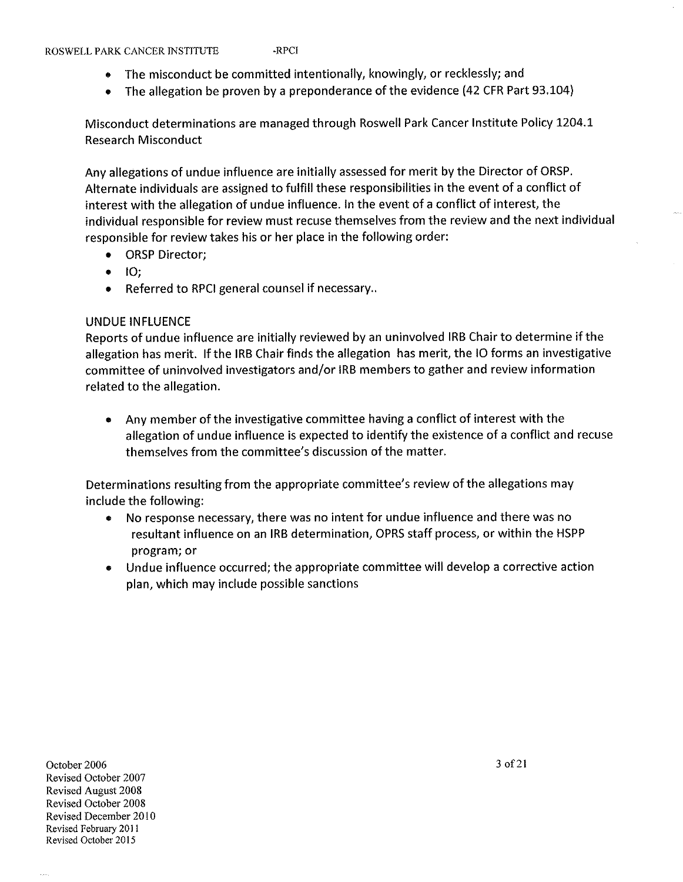- The misconduct be committed intentionally, knowingly, or recklessly; and
- The allegation be proven by a preponderance of the evidence (42 CFR Part 93.104)

Misconduct determinations are managed through Roswell Park Cancer Institute Policy 1204.1 Research Misconduct

Any allegations of undue influence are initially assessed for merit by the Director of ORSP. Alternate individuals are assigned to fulfill these responsibilities in the event of a conflict of interest with the allegation of undue influence. In the event of a conflict of interest, the individual responsible for review must recuse themselves from the review and the next individual responsible for review takes his or her place in the following order:

- ORSP Director;
- 10;
- Referred to RPCI general counsel if necessary..

### UNDUE INFLUENCE

Reports of undue influence are initially reviewed by an uninvoived IRB Chair to determine if the allegation has merit. If the IRB Chair finds the allegation has merit, the 10 forms an investigative committee of uninvolved investigators and/or IRB members to gather and review information related to the allegation.

• Any member of the investigative committee having a conflict of interest with the allegation of undue influence is expected to identify the existence of a conflict and recuse themselves from the committee's discussion of the matter.

Determinations resulting from the appropriate committee's review of the allegations may include the following:

- No response necessary, there was no intent for undue influence and there was no resultant influence on an IRB determination, OPRS staff process, or within the HSPP program; or
- 9 Undue influence occurred; the appropriate committee will develop a corrective action plan, which may include possible sanctions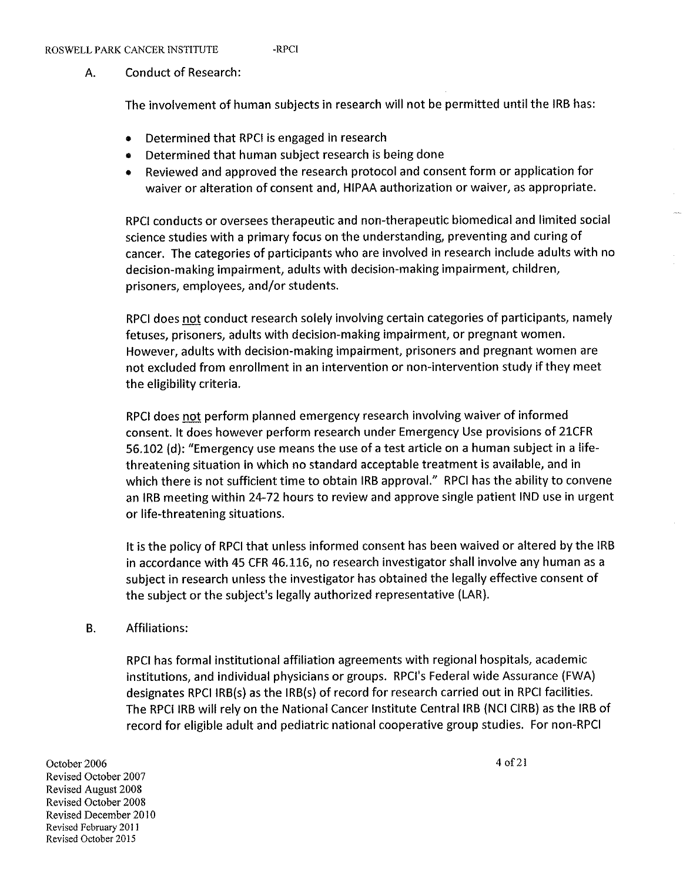## A. Conduct of Research:

The involvement of human subjects in research will not be permitted until the IRB has:

- Determined that RPCI is engaged in research
- Determined that human subject research is being done
- Reviewed and approved the research protocol and consent form or application for waiver or alteration of consent and, HIPAA authorization or waiver, as appropriate.

RPCI conducts or oversees therapeutic and non-therapeutic biomedical and limited social science studies with a primary focus on the understanding, preventing and curing of cancer. The categories of participants who are involved in research include adults with no decision-making impairment, adults with decision-making impairment, children, prisoners, employees, and/or students.

RPCI does not conduct research solely involving certain categories of participants, namely fetuses, prisoners, adults with decision-making impairment, or pregnant women. However, adults with decision-making impairment, prisoners and pregnant women are not excluded from enrollment in an intervention or non-intervention study if they meet the eligibility criteria.

RPCI does not perform planned emergency research involving waiver of informed consent. It does however perform research under Emergency Use provisions of 21CFR 56.102 (d): Emergency use means the use of a test article on a human subject in a lifethreatening situation in which no standard acceptable treatment is available, and in which there is not sufficient time to obtain IRB approval." RPCI has the ability to convene an IRB meeting within 24-72 hours to review and approve single patient IND use in urgent or life-threatening situations.

It is the policy of RPCI that unless informed consent has been waived or altered by the IRB in accordance with 45 CFR 46.116, no research investigator shall involve any human as a subject in research unless the investigator has obtained the legally effective consent of the subject or the subject's legally authorized representative (LAR).

#### B. Affiliations:

RPCI has formal institutional affiliation agreements with regional hospitals, academic institutions, and individual physicians or groups. RPCI's Federal wide Assurance (FWA) designates RPCI IRB(s) as the IRB(s) of record for research carried out in RPCI facilities. The RPCI IRB will rely on the National Cancer Institute Central IRB (NCI CIRB) as the IRB of record for eligible adult and pediatric national cooperative group studies. For non-RPCI October 2006 4 of 21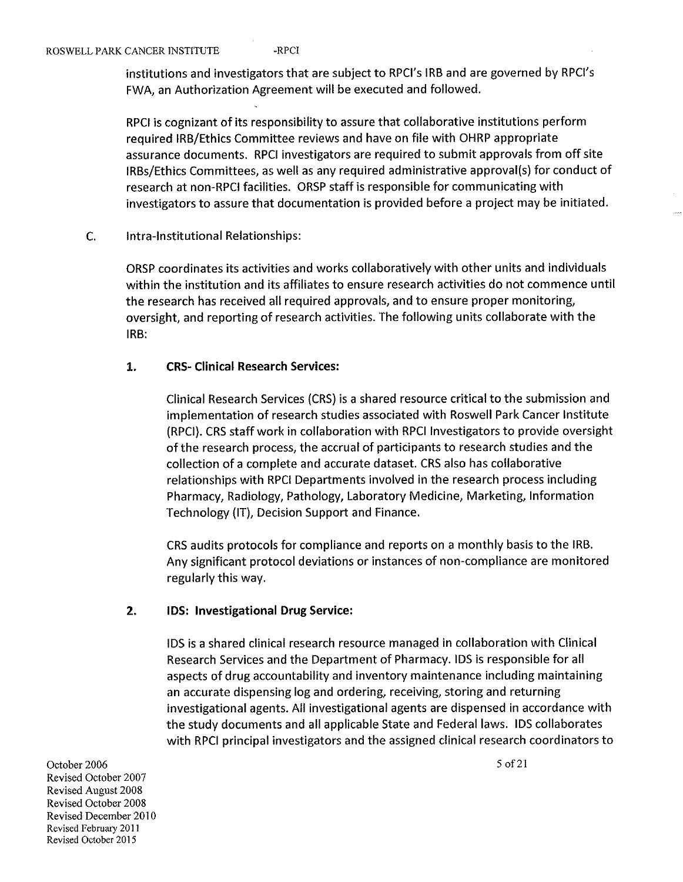institutions and investigators that are subject to RPCI's IRB and are governed by RPCI's FWA, an Authorization Agreement will be executed and followed.

RPCI is cognizant of its responsibility to assure that collaborative institutions perform required IRB/Ethics Committee reviews and have on file with OHRP appropriate assurance documents. RPCI investigators are required to submit approvals from off site IRBs/Ethics Committees, as well as any required administrative approval(s) for conduct of research at non-RPCI facilities. ORSP staff is responsible for communicating with investigators to assure that documentation is provided before a project may be initiated.

C. intra-lnstitutional Relationships:

> ORSP coordinates its activities and works collaboratively with other units and individuals within the institution and its affiliates to ensure research activities do not commence until the research has received all required approvals, and to ensure proper monitoring, o ersight, and reporting of research activities. The following units collaborate with the IRB:

# 1. CRS- Clinical Research Services:

Clinical Research Services (CRS) is a shared resource critical to the submission and implementation of research studies associated with Roswell Park Cancer Institute (RPCI). CRS staff work in collaboration with RPCI Investigators to provide oversight of the research process, the accrual of participants to research studies and the collection of a complete and accurate dataset. CRS also has collaborative relationships with RPCI Departments involved in the research process including Pharmacy, Radiology, Pathology, Laboratory Medicine, Marketing, Information Technology (IT), Decision Support and Finance.

CRS audits protocols for compliance and reports on a monthly basis to the IRB. Any significant protocol deviations or instances of non-compliance are monitored regularly this way.

# 2. IDS: Investigational Drug Service:

IDS is a shared clinical research resource managed in collaboration with Clinical Research Services and the Department of Pharmacy. IDS is responsible for all aspects of drug accountability and inventory maintenance including maintaining an accurate dispensing log and ordering, receiving, storing and returning investigational agents. All investigational agents are dispensed in accordance with the study documents and all applicable State and Federal laws. IDS collaborates with RPCI principal investigators and the assigned clinical research coordinators to

October 2006 Revised October 2007 Revised August 2008 Revised October 2008 Revised December 2010 Revised February 2011 Revised October 2015

5 of 21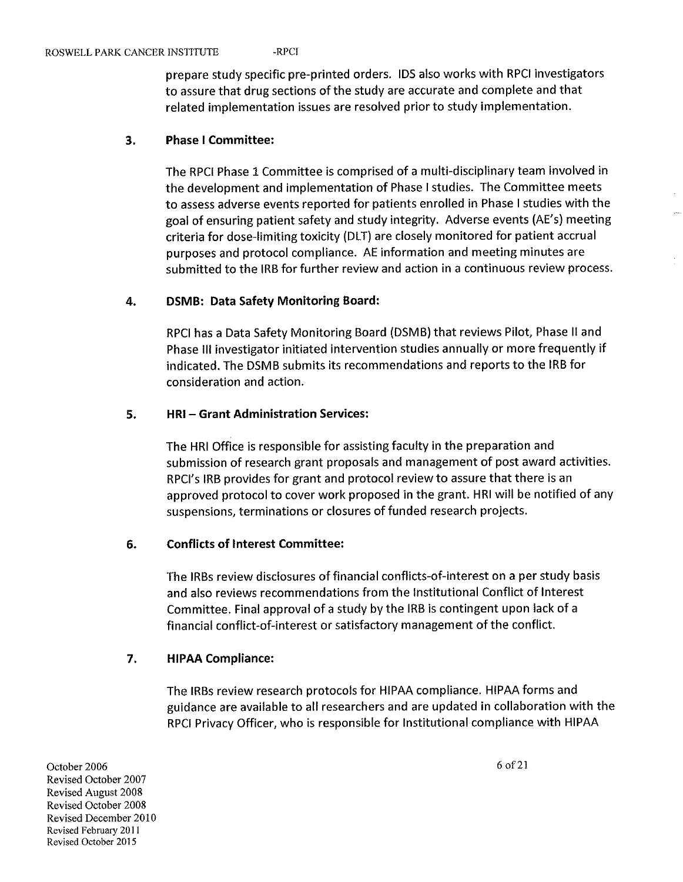prepare study specific pre-printed orders. IDS also works with RPCI investigators to assure that drug sections of the study are accurate and complete and that related implementation issues are resolved prior to study implementation.

#### 3. Phase 1 Committee:

The RPCI Phase 1 Committee is comprised of a multi-disciplinary team involved in the development and implementation of Phase I studies. The Committee meets to assess adverse events reported for patients enrolled in Phase 1 studies with the goal of ensuring patient safety and study integrity. Adverse events (AE's) meeting criteria for dose-limiting toxicity (DLT) are closely monitored for patient accrual purposes and protocol compliance. AE information and meeting minutes are submitted to the IRB for further review and action in a continuous review process.

# 4. DSMB: Data Safety Monitoring Board:

RPCI has a Data Safety Monitoring Board (DSMB) that reviews Pilot, Phase II and Phase III investigator initiated intervention studies annually or more frequently if indicated. The DSMB submits its recommendations and reports to the IRB for consideration and action.

### 5. HRI - Grant Administration Services:

The HRI Office is responsible for assisting faculty in the preparation and submission of research grant proposals and management of post award activities. RPCI's IRB provides for grant and protocol review to assure that there is an approved protocol to cover work proposed in the grant. HRI will be notified of any suspensions, terminations or closures of funded research projects.

#### 6. Conflicts of Interest Committee:

The IRBs review disclosures of financial conflicts-of-interest on a per study basis and also reviews recommendations from the Institutional Conflict of Interest Committee. Final approval of a study by the IRB is contingent upon lack of a financial conflict-of-interest or satisfactory management of the conflict.

# 7. HIPAA Compliance:

The IRBs review research protocols for HIPAA compliance. HIPAA forms and guidance are available to all researchers and are updated in collaboration with the RPCI Privacy Officer, who is responsible for Institutional compliance with HIPAA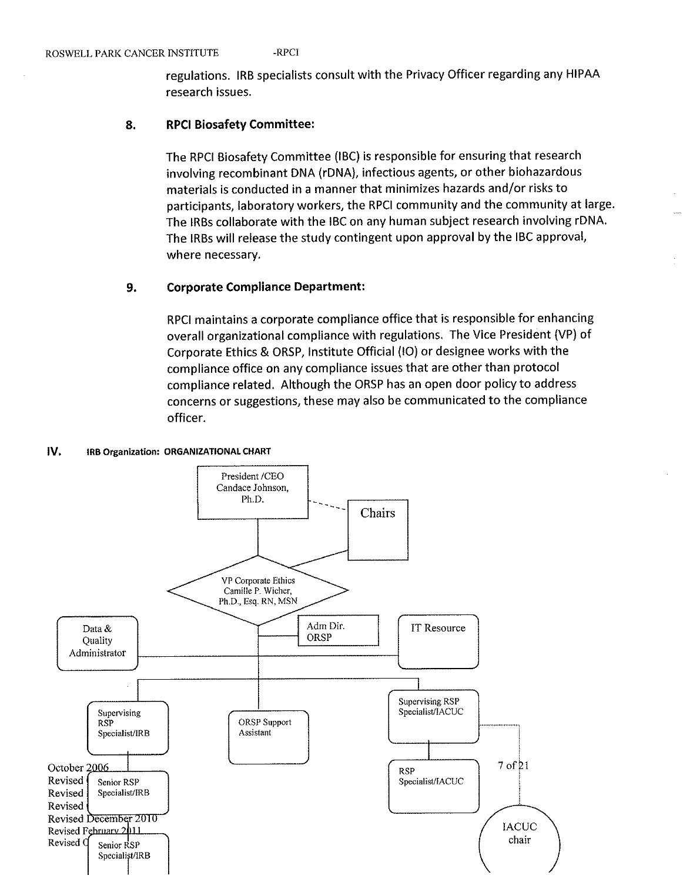regulations. IRB specialists consult with the Privacy Officer regarding any HIPAA research issues.

## 8. RPCI Biosafety Committee:

The RPCI Biosafety Committee (IBC) is responsible for ensuring that research involving recombinant DNA (rDNA), infectious agents, or other biohazardous materials is conducted in a manner that minimizes hazards and/or risks to participants, laboratory workers, the RPCI community and the community at large. The IRBs collaborate with the IBC on any human subject research involving rDNA. The IRBs will release the study contingent upon approval by the IBC approval, where necessary.

### 9. Corporate Compliance Department:

RPCI maintains a corporate compliance office that is responsible for enhancing overall organizational compliance with regulations. The Vice President (VP) of Corporate Ethics & ORSP, Institute Official (10) or designee works with the compliance office on any compliance issues that are other than protocol compliance related. Although the ORSP has an open door policy to address concerns or suggestions, these may also be communicated to the compliance officer.

#### IV. IRB Organization: ORGANIZATIONAL CHART

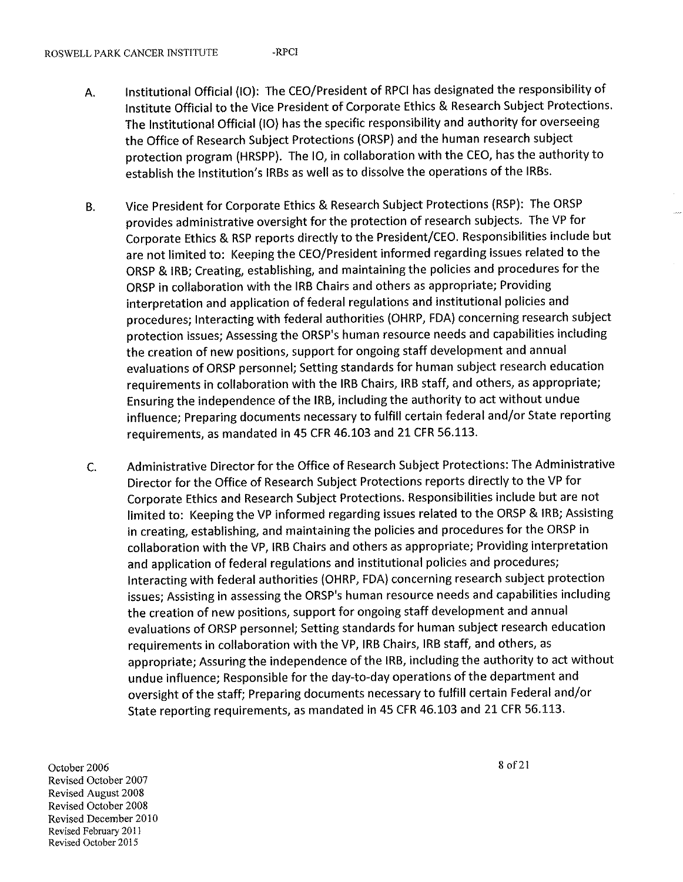- A. Institutional Official (10): The CEO/President of RPCI has designated the responsibility of Institute Official to the Vice President of Corporate Ethics & Research Subject Protections. The Institutional Official (10) has the specific responsibility and authority for overseeing the Office of Research Subject Protections (ORSP) and the human research subject protection program (HRSPP). The 10, in collaboration with the CEO, has the authority to establish the Institution's IRBs as well as to dissolve the operations of the IRBs.
- B. Vice President for Corporate Ethics & Research Subject Protections (RSP): The ORSP provides administrative oversight for the protection of research subjects. The VP for Corporate Ethics & RSP reports directly to the President/CEO. Responsibilities include but are not limited to: Keeping the CEO/President informed regarding issues related to the ORSP & IRB; Creating, establishing, and maintaining the policies and procedures for the ORSP in collaboration with the IRB Chairs and others as appropriate; Providing interpretation and application of federal regulations and institutional policies and procedures; Interacting with federal authorities (OHRP, FDA) concerning research subject protection issues; Assessing the ORSP's human resource needs and capabilities including the creation of new positions, support for ongoing staff development and annual evaluations of ORSP personnel; Setting standards for human subject research education requirements in collaboration with the IRB Chairs, IRB staff, and others, as appropriate; Ensuring the independence of the IRB, including the authority to act without undue influence; Preparing documents necessary to fulfill certain federal and/or State reporting requirements, as mandated in 45 CFR 46.103 and 21 CFR 56.113.
- C. Administrative Director for the Office of Research Subject Protections: The Administrative Director for the Office of Research Subject Protections reports directly to the VP for Corporate Ethics and Research Subject Protections. Responsibilities include but are not limited to: Keeping the VP informed regarding issues related to the ORSP & IRB; Assisting in creating, establishing, and maintaining the policies and procedures for the ORSP in collaboration with the VP, IRB Chairs and others as appropriate; Providing interpretation and application of federal regulations and institutional policies and procedures; interacting with federal authorities (OHRP, FDA) concerning research subject protection issues; Assisting in assessing the ORSP's human resource needs and capabilities including the creation of new positions, support for ongoing staff development and annual evaluations of ORSP personnel; Setting standards for human subject research education requirements in collaboration with the VP, IRB Chairs, IRB staff, and others, as appropriate; Assuring the independence of the IRB, including the authority to act without undue influence; Responsible for the day-to-day operations of the department and oversight of the staff; Preparing documents necessary to fulfill certain Federal and/or State reporting requirements, as mandated in 45 CFR 46.103 and 21 CFR 56.113.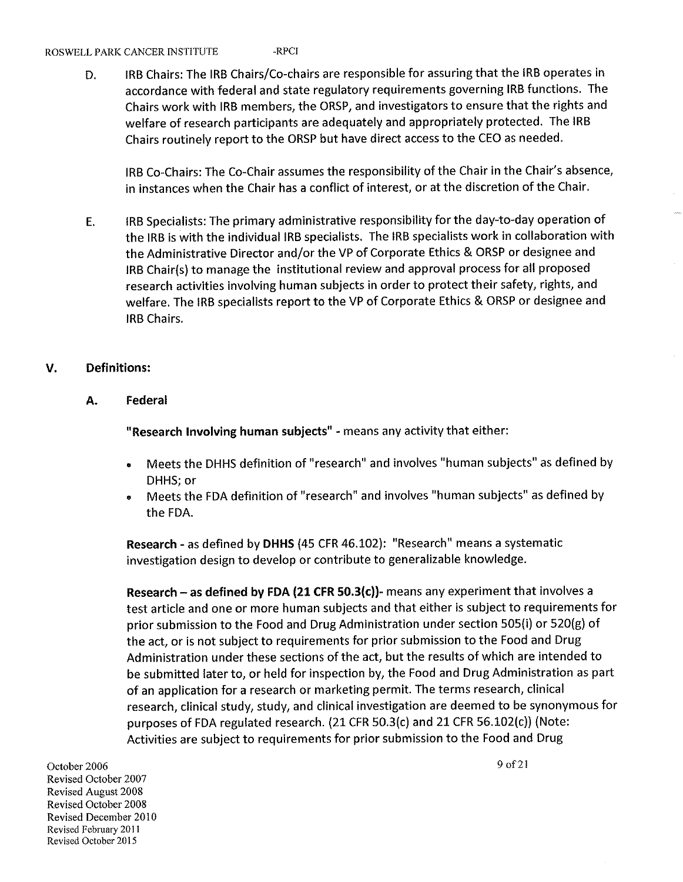#### ROSWELL PARK CANCER INSTITUTE -RPCI

D. IRB Chairs: The IRB Chairs/Co-chairs are responsible for assuring that the IRB operates in accordance with federal and state regulatory requirements governing IRB functions. The Chairs work with IRB members, the ORSP, and investigators to ensure that the rights and welfare of research participants are adequately and appropriately protected. The IRB Chairs routinely report to the ORSP but have direct access to the CEO as needed.

IRB Co-Chairs: The Co-Chair assumes the responsibility of the Chair in the Chair's absence, in instances when the Chair has a conflict of interest, or at the discretion of the Chair.

E. IRB Specialists: The primary administrative responsibility for the day-to-day operation of the IRB is with the individual IRB specialists. The IRB specialists work in collaboration with the Administrative Director and/or the VP of Corporate Ethics & ORSP or designee and IRB Chair(s) to manage the institutional review and approval process for all proposed research activities involving human subjects in order to protect their safety, rights, and welfare. The IRB specialists report to the VP of Corporate Ethics & ORSP or designee and IRB Chairs.

# V. Definitions:

#### A. Federal

"Research Involving human subjects" - means any activity that either:

- Meets the DHHS definition of "research" and involves "human subjects" as defined by DHHS; or
- ® Meets the FDA definition of "research" and involves "human subjects" as defined by the FDA.

Research - as defined by DHHS (45 CFR 46.102): "Research" means a systematic investigation design to develop or contribute to generalizable knowledge.

Research - as defined by FDA (21 CFR 50.3(c))- means any experiment that involves a test article and one or more human subjects and that either is subject to requirements for prior submission to the Food and Drug Administration under section 505(i) or 520(g) of the act, or is not subject to requirements for prior submission to the Food and Drug Administration under these sections of the act, but the results of which are intended to be submitted later to, or held for inspection by, the Food and Drug Administration as part of an application for a research or marketing permit. The terms research, clinical research, clinical study, study, and clinical investigation are deemed to be synonymous for purposes of FDA regulated research. (21 CFR 50.3(c) and 21 CFR 56.102(c)) (Note: Activities are subject to requirements for prior submission to the Food and Drug<br>October 2006 9 of 21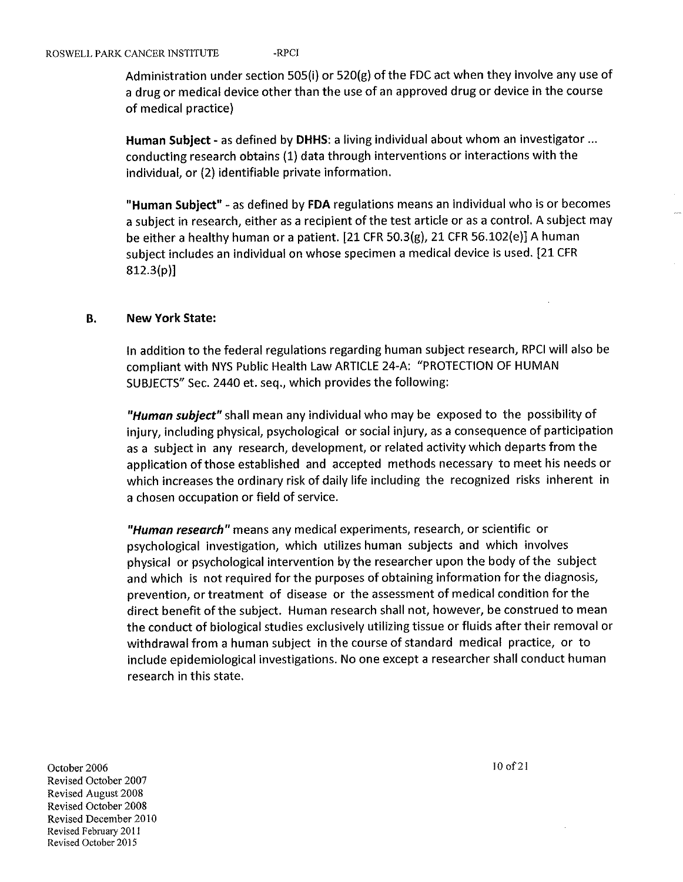Administration under section 505(i) or 520(g) of the FDC act when they involve any use of a drug or medical device other than the use of an approved drug or device in the course of medical practice)

Human Subject - as defined by DHHS: a living individual about whom an investigator ... conducting research obtains (1) data through interventions or interactions with the individual, or (2) identifiable private information.

"Human Subject" - as defined by FDA regulations means an individual who is or becomes a subject in research, either as a recipient of the test article or as a control. A subject may be either a healthy human or a patient. [21 CFR 50.3(g), 21 CFR 56.102(e)] A human subject includes an individual on whose specimen a medical device is used. [21 CFR 812.3(p)]

# B. New York State:

In addition to the federal regulations regarding human subject research, RPCI will also be compliant with NYS Public Health Law ARTICLE 24-A: PROTECTION OF HUMAN SUBJECTS" Sec. 2440 et. seq., which provides the following:

"Human subject" shall mean any individual who may be exposed to the possibility of injury, including physical, psychological or social injury, as a consequence of participation as a subject in any research, development, or related activity which departs from the application of those established and accepted methods necessary to meet his needs or which increases the ordinary risk of daily life including the recognized risks inherent in a chosen occupation or field of service.

"Human research" means any medical experiments, research, or scientific or psychological investigation, which utilizes human subjects and which involves physical or psychological intervention by the researcher upon the body of the subject and which is not required for the purposes of obtaining information for the diagnosis, prevention, or treatment of disease or the assessment of medical condition for the direct benefit of the subject. Human research shall not, however, be construed to mean the conduct of biological studies exclusively utilizing tissue or fluids after their removal or withdrawal from a human subject in the course of standard medical practice, or to include epidemiological investigations. No one except a researcher shall conduct human research in this state.

October 2006  $\frac{10 \text{ of } 2}{10 \text{ of } 2}$ Revised October 2007 Revised August 2008 Revised October 2008 Revised December 2010 Revised February 2011 Revised October 2015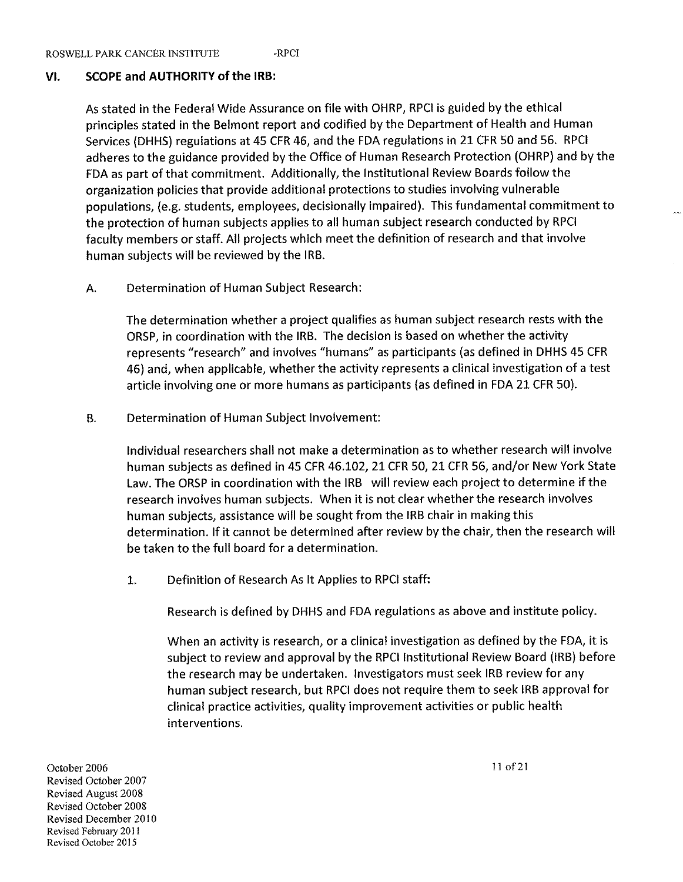# VI. SCOPE and AUTHORITY of the IRB:

As stated in the Federal Wide Assurance on file with OHRP, RPCI is guided by the ethical principles stated in the Belmont report and codified by the Department of Health and Human Services (DHHS) regulations at 45 CFR 46, and the FDA regulations in 21 CFR 50 and 56. RPCI adheres to the guidance provided by the Office of Human Research Protection (OHRP) and by the FDA as part of that commitment. Additionally, the Institutional Review Boards follow the organization policies that provide additional protections to studies involving vulnerable populations, (e.g. students, employees, decisionally impaired). This fundamental commitment to the protection of human subjects applies to all human subject research conducted by RPCI faculty members or staff. All projects which meet the definition of research and that involve human subjects will be reviewed by the IRB.

# A. Determination of Human Subject Research:

The determination whether a project qualifies as human subject research rests with the ORSP, in coordination with the IRB. The decision is based on whether the activity represents "research" and involves "humans" as participants (as defined in DHHS 45 CFR 46) and, when applicable, whether the activity represents a clinical investigation of a test article involving one or more humans as participants (as defined in FDA 21 CFR 50).

B. Determination of Human Subject Involvement:

Individual researchers shall not make a determination as to whether research will involve human subjects as defined in 45 CFR 46.102, 21 CFR 50, 21 CFR 56, and/or New York State Law. The ORSP in coordination with the IRB will review each project to determine if the research involves human subjects. When it is not clear whether the research involves human subjects, assistance will be sought from the IRB chair in making this determination. If it cannot be determined after review by the chair, then the research will be taken to the full board for a determination.

1. Definition of Research As It Applies to RPCI staff:

Research is defined by DHHS and FDA regulations as above and institute policy.

When an activity is research, or a clinical investigation as defined by the FDA, it is subject to review and approval by the RPCI Institutional Review Board (IRB) before the research may be undertaken. Investigators must seek IRB review for any human subject research, but RPCI does not require them to seek IRB approval for clinical practice activities, quality improvement activities or public health interventions.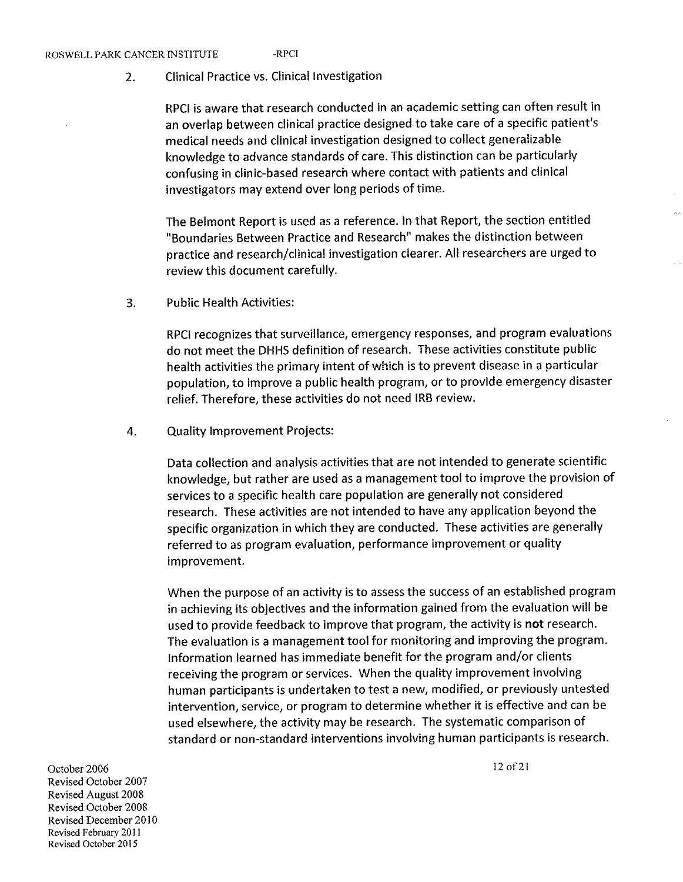#### ROSWELL PARK CANCER INSTITUTE -RPCI

Clinical Practice vs. Clinical Investigation  $\overline{2}$ .

> RPCI is aware that research conducted in an academic setting can often result in an overlap between clinical practice designed to take care of a specific patient's medical needs and clinical investigation designed to collect generalizable knowledge to advance standards of care. This distinction can be particularly confusing in clinic-based research where contact with patients and clinical investigators may extend over long periods of time.

> The Belmont Report is used as a reference. In that Report, the section entitled "Boundaries Between Practice and Research" makes the distinction between practice and research/clinical investigation clearer. All researchers are urged to review this document carefully.

3. Public Health Activities:

> RPCI recognizes that surveillance, emergency responses, and program evaluations do not meet the DHHS definition of research. These activities constitute public health activities the primary intent of which is to prevent disease in a particular population, to improve a public health program, or to provide emergency disaster relief. Therefore, these activities do not need IRB review.

4. Quality Improvement Projects:

> Data collection and analysis activities that are not intended to generate scientific knowledge, but rather are used as a management tool to improve the provision of services to a specific health care population are generally not considered research. These activities are not intended to have any application beyond the specific organization in which they are conducted. These activities are generally referred to as program evaluation, performance improvement or quality improvement.

> When the purpose of an activity is to assess the success of an established program in achieving its objectives and the information gained from the evaluation will be used to provide feedback to improve that program, the activity is not research. The evaluation is a management tool for monitoring and improving the program. Information learned has immediate benefit for the program and/or clients receiving the program or services. When the quality improvement involving human participants is undertaken to test a new, modified, or previously untested intervention, service, or program to determine whether it is effective and can be used elsewhere, the activity may be research. The systematic comparison of standard or non-standard interventions involving human participants is research.

October 2006 Revised October 2007 Revised August 2008 Revised October 2008 Revised December 2010 Revised February 2011 Revised October 2015

12 of 21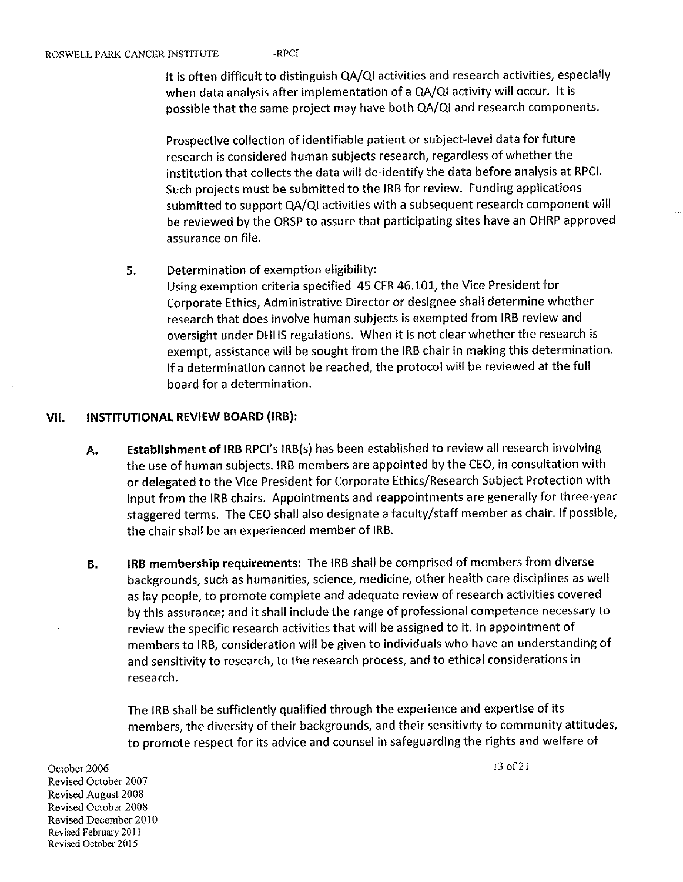It is often difficult to distinguish QA/QI activities and research activities, especially when data analysis after implementation of a QA/QI activity will occur. It is possible that the same project may have both QA/QI and research components.

Prospective collection of identifiable patient or subject-level data for future research is considered human subjects research, regardless of whether the institution that collects the data will de-identify the data before analysis at RPCI. Such projects must be submitted to the IRB for review. Funding applications submitted to support QA/QI activities with a subsequent research component will be reviewed by the ORSP to assure that participating sites have an OHRP approved assurance on file.

5. Determination of exemption eligibility:

Using exemption criteria specified 45 CFR 46.101, the Vice President for Corporate Ethics, Administrative Director or designee shall determine whether research that does involve human subjects is exempted from IRB review and oversight under DHHS regulations. When it is not clear whether the research is exempt, assistance will be sought from the IRB chair in making this determination. If a determination cannot be reached, the protocol will be reviewed at the full board for a determination.

# Vli. INSTITUTIONAL REVIEW BOARD (IRB):

- A. Establishment of IRB RPCI's IRB(s) has been established to review all research involving the use of human subjects. IRB members are appointed by the CEO, in consultation with or delegated to the Vice President for Corporate Ethics/Research Subject Protection with input from the IRB chairs. Appointments and reappointments are generally for three-year staggered terms. The CEO shall also designate a faculty/staff member as chair. If possible, the chair shall be an experienced member of IRB.
- B. IRB membership requirements: The IRB shall be comprised of members from diverse backgrounds, such as humanities, science, medicine, other health care disciplines as well as lay people, to promote complete and adequate review of research activities covered by this assurance; and it shall include the range of professional competence necessary to review the specific research activities that will be assigned to it. In appointment of members to IRB, consideration will be given to individuals who have an understanding of and sensitivity to research, to the research process, and to ethical considerations in research.

The IRB shall be sufficiently qualified through the experience and expertise of its members, the diversity of their backgrounds, and their sensitivity to community attitudes, to promote respect for its advice and counsel in safeguarding the rights and welfare of<br>October 2006 13 of 21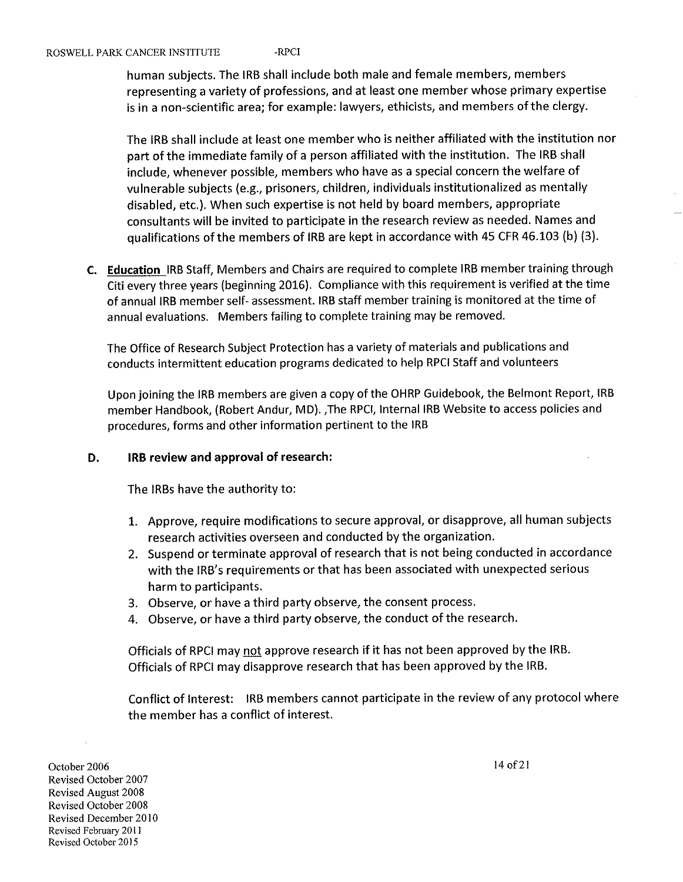#### ROSWELL PARK CANCER INSTITUTE -RPCI

human subjects. The IRB shall include both male and female members, members representing a variety of professions, and at least one member whose primary expertise is in a non-scientific area; for example: lawyers, ethicists, and members of the clergy.

The IRB shall include at least one member who is neither affiliated with the institution nor art of the immediate family of a person affiliated with the institution. The IRB shall include, whenever possible, members who have as a special concern the welfare of vulnerable subjects (e.g., prisoners, children, individuals institutionalized as mentally disabled, etc.). When such expertise is not held by board members, appropriate consultants will be invited to participate in the research review as needed. Names and qualifications of the members of IRB are kept in accordance with 45 CFR 46.103 (b) (3).

C. Education IRB Staff, Members and Chairs are required to complete IRB member training through Citi every three years (beginning 2016). Compliance with this requirement is verified at the time of annual IRB member self- assessment. IRB staff member training is monitored at the time of annual evaluations. Members failing to complete training may be removed.

The Office of Research Subject Protection has a variety of materials and publications and conducts intermittent education programs dedicated to help RPCI Staff and volunteers

Upon joining the IRB members are given a copy of the OHRP Guidebook, the Belmont Report, IRB member Handbook, (Robert Andur, MD). ,The RPCI, Internal IRB Website to access policies and procedures, forms and other information pertinent to the IRB

#### D. IRB review and approval of research:

The IRBs have the authority to:

- 1. Approve, require modifications to secure approval, or disapprove, ail human subjects research activities overseen and conducted by the organization.
- 2. Suspend or terminate approval of research that is not being conducted in accordance with the IRB's requirements or that has been associated with unexpected serious harm to participants.
- 3. Observe, or have a third party observe, the consent process.
- 4. Observe, or have a third party observe, the conduct of the research.

Officials of RPCI may not approve research if it has not been approved by the IRB. Officials of RPCI may disapprove research that has been approved by the IRB.

Conflict of Interest: IRB members cannot participate in the review of any protocol where the member has a conflict of interest.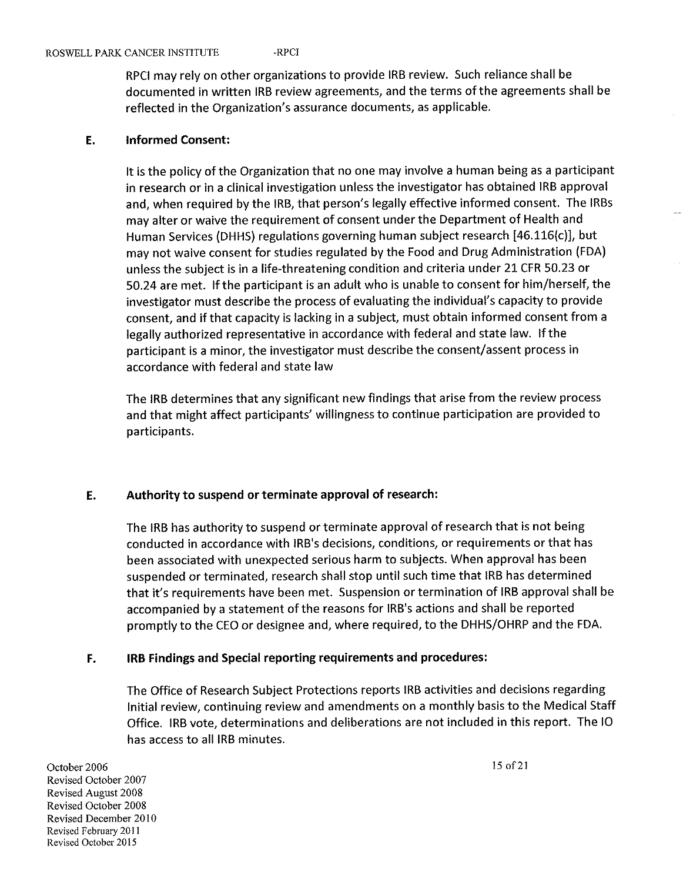#### ROSWELL PARK CANCER INSTITUTE - RPCI

RPCI may rely on other organizations to provide IRB review. Such reliance shall be documented in written IRB review agreements, and the terms of the agreements shall be reflected in the Organization's assurance documents, as applicable.

#### E. Informed Consent:

It is the policy of the Organization that no one may involve a human being as a participant in research or in a clinical investigation unless the investigator has obtained IRB approval and, when required by the IRB, that person's legally effective informed consent. The IRBs may alter or waive the requirement of consent under the Department of Health and Human Services (DHHS) regulations governing human subject research [46.116(c)], but may not waive consent for studies regulated by the Food and Drug Administration (FDA) unless the subject is in a life-threatening condition and criteria under 21 CFR 50.23 or 50.24 are met. If the participant is an adult who is unable to consent for him/herself, the investigator must describe the process of evaluating the individual's capacity to provide consent, and if that capacity is lacking in a subject, must obtain informed consent from a legally authorized representative in accordance with federal and state law. If the participant is a minor, the investigator must describe the consent/assent process in accordance with federal and state law

The IRB determines that any significant new findings that arise from the review process and that might affect participants' willingness to continue participation are provided to participants.

# E. Authority to suspend or terminate approval of research:

The IRB has authority to suspend or terminate approval of research that is not being conducted in accordance with IRB's decisions, conditions, or requirements or that has been associated with unexpected serious harm to subjects. When approval has been suspended or terminated, research shall stop until such time that IRB has determined that it's requirements have been met. Suspension or termination of IRB approval shall be accompanied by a statement of the reasons for IRB's actions and shall be reported promptly to the CEO or designee and, where required, to the DHHS/OHRP and the FDA.

# F. IRB Findings and Special reporting requirements and procedures:

The Office of Research Subject Protections reports IRB activities and decisions regarding Initial review, continuing review and amendments on a monthly basis to the Medical Staff Office. IRB vote, determinations and deliberations are not included in this report. The 10 has access to all IRB minutes. has access to all IRB minutes.<br>October 2006<br>Parised Ottober 2007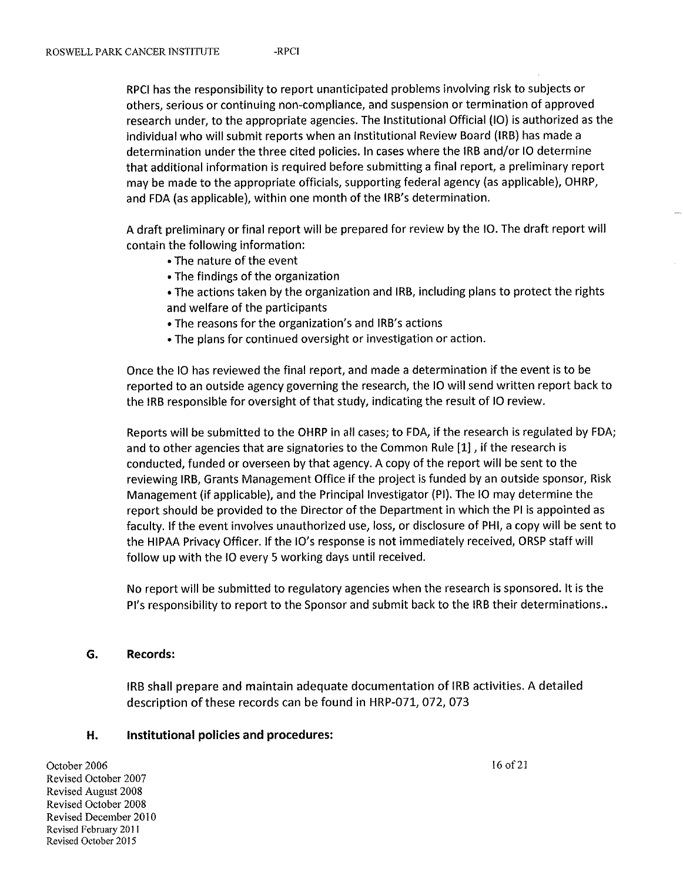RPCI has the responsibility to report unanticipated problems involving risk to subjects or others, serious or continuing non-compliance, and suspension or termination of approved research under, to the appropriate agencies. The Institutional Official (10) is authorized as the individual who will submit reports when an Institutional Review Board (IRB) has made a determination under the three cited policies. In cases where the IRB and/or 10 determine that additional information is required before submitting a final report, a preliminary report may be made to the appropriate officials, supporting federal agency (as applicable), OHRP, and FDA (as applicable), within one month of the IRB's determination.

A draft preliminary or final report will be prepared for review by the 10. The draft report will contain the following information:

- The nature of the event
- The findings of the organization
- The actions taken by the organization and IRB, including plans to protect the rights and welfare of the participants
- The reasons for the organization's and IRB's actions
- The plans for continued oversight or investigation or action.

Once the 10 has reviewed the final report, and made a determination if the event is to be reported to an outside agency governing the research, the 10 will send written report back to the IRB responsible for oversight of that study, indicating the result of 10 review.

Reports will be submitted to the OHRP in all cases; to FDA, if the research is regulated by FDA; and to other agencies that are signatories to the Common Rule [1], if the research is conducted, funded or overseen by that agency. A copy of the report will be sent to the reviewing IRB, Grants Management Office if the project is funded by an outside sponsor, Risk anagement (if applicable), and the Principal Investigator (PI). The 10 may determine the report should be provided to the Director of the Department in which the PI is appointed as faculty. If the event involves unauthorized use, loss, or disclosure of PHI, a copy will be sent to the HIPAA Privacy Officer. If the 10's response is not immediately received, ORSP staff will follow up with the 10 every 5 working days until received.

No report will be submitted to regulatory agencies when the research is sponsored. It is the Pi's responsibility to report to the Sponsor and submit back to the IRB their determinations..

#### G. Records:

IRB shall prepare and maintain adequate documentation of IRB activities. A detailed description of these records can be found in HRP-071, 072, 073

# H. Institutional policies and procedures: **H.** Institutional policies and procedures:<br>October 2006 16 of 2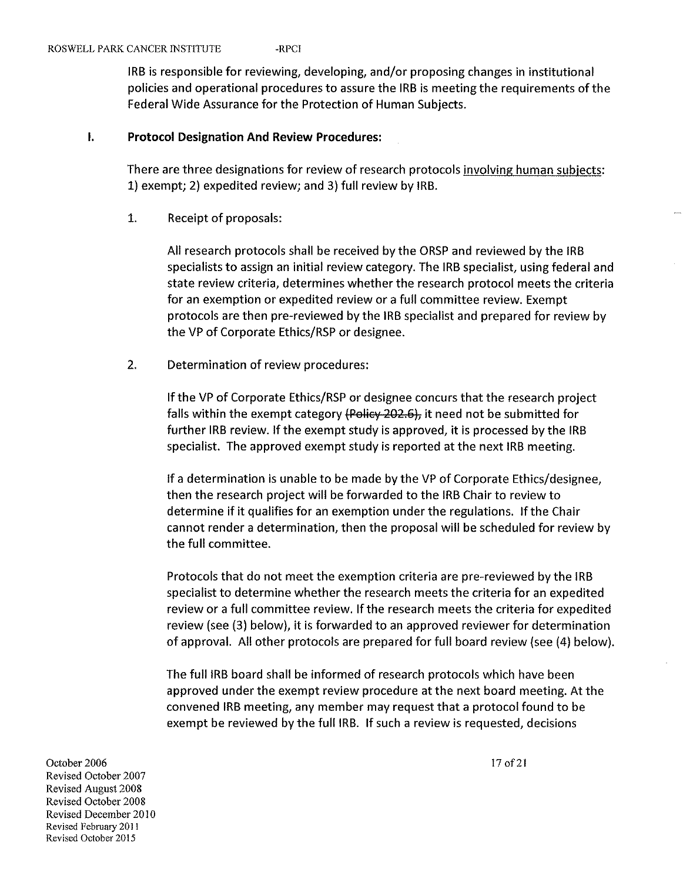IRB is responsible for reviewing, developing, and/or proposing changes in institutional policies and operational procedures to assure the IRB is meeting the requirements of the Federal Wide Assurance for the Protection of Human Subjects.

### I. Protocol Designation And Review Procedures:

There are three designations for review of research protocols involving human subjects: 1) exempt; 2) expedited review; and 3) full review by IRB.

1. Receipt of proposals:

All research protocols shall be received by the ORSP and reviewed by the IRB specialists to assign an initial review category. The IRB specialist, using federal and state review criteria, determines whether the research protocol meets the criteria for an exemption or expedited review or a full committee review. Exempt protocols are then pre-reviewed by the IRB specialist and prepared for review by the VP of Corporate Ethics/RSP or designee.

2. Determination of review procedures:

If the VP of Corporate Ethics/RSP or designee concurs that the research project falls within the exempt category (Policy 202.6), it need not be submitted for further IRB review. If the exempt study is approved, it is processed by the IRB specialist. The approved exempt study is reported at the next IRB meeting.

If a determination is unable to be made by the VP of Corporate Ethics/designee, then the research project will be forwarded to the IRB Chair to review to determine if it qualifies for an exemption under the regulations. If the Chair cannot render a determination, then the proposal will be scheduled for review by the full committee.

Protocols that do not meet the exemption criteria are pre-reviewed by the IRB specialist to determine whether the research meets the criteria for an expedited review or a full committee review. If the research meets the criteria for expedited review (see (3) below), it is forwarded to an approved reviewer for determination of approval. All other protocols are prepared for full board review (see (4) below).

The full IRB board shall be informed of research protocols which have been approved under the exempt review procedure at the next board meeting. At the convened IRB meeting, any member may request that a protocol found to be exempt be reviewed by the full IRB. If such a review is requested, decisions

October 2006<br>
Povieced October 2007 Revised October 2007 Revised August 2008 Revised October 2008 Revised December 2010 Revised February 2011 Revised October 2015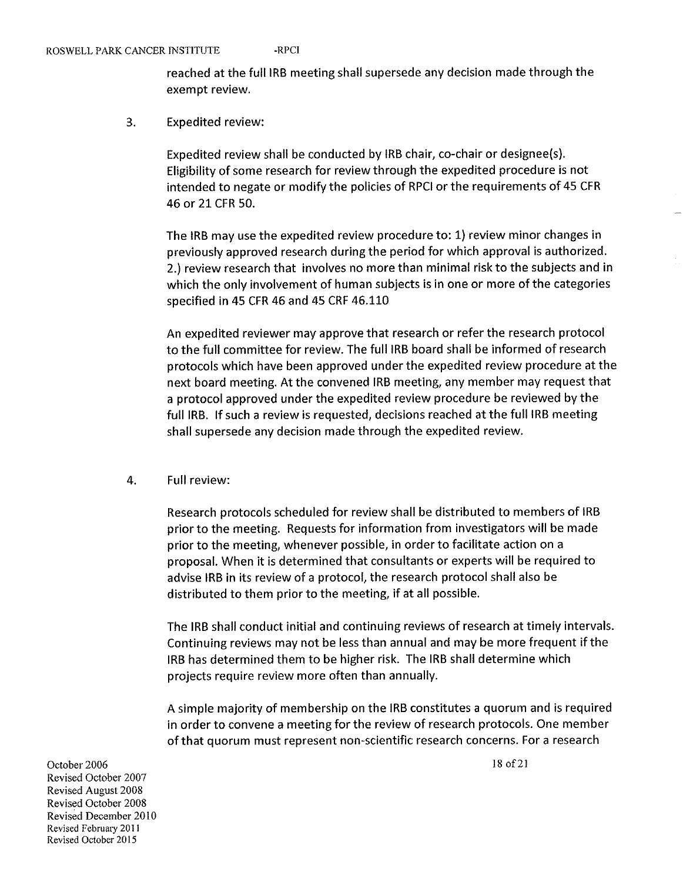reached at the full IRB meeting shall supersede any decision made through the exempt review.

3. Expedited review:

> Expedited review shall be conducted by IRB chair, co-chair or designee(s). Eligibility of some research for review through the expedited procedure is not intended to negate or modify the policies of RPCI or the requirements of 45 CFR 46 or 21 CFR 50.

The IRB may use the expedited review procedure to: 1} review minor changes in previously approved research during the period for which approval is authorized. 2.) review research that involves no more than minimal risk to the subjects and in which the only involvement of human subjects is in one or more of the categories specified in 45 CFR 46 and 45 CRF 46.110

An expedited reviewer may approve that research or refer the research protocol to the full committee for review. The full IRB board shall be informed of research protocols which have been approved under the expedited review procedure at the next board meeting. At the convened IRB meeting, any member may request that a protocol approved under the expedited review procedure be reviewed by the full IRB. If such a review is requested, decisions reached at the full IRB meeting shall supersede any decision made through the expedited review.

4. Full review:

Research protocols scheduled for review shall be distributed to members of IRB prior to the meeting. Requests for information from investigators will be made prior to the meeting, whenever possible, in order to facilitate action on a proposal. When it is determined that consultants or experts will be required to advise IRB in its review of a protocol, the research protocol shall also be distributed to them prior to the meeting, if at all possible.

The IRB shall conduct initial and continuing reviews of research at timely intervals. Continuing reviews may not be less than annual and may be more frequent if the IRB has determined them to be higher risk. The IRB shall determine which projects require review more often than annually.

A simple majority of membership on the IRB constitutes a quorum and is required in order to convene a meeting for the review of research protocols. One member of that quorum must represent non-scientific research concerns. For a research

October 2006 Revised October 2007 Revised August 2008 Revised October 2008 Revised December 2010 Revised February 2011 Revised October 2015

18 of 21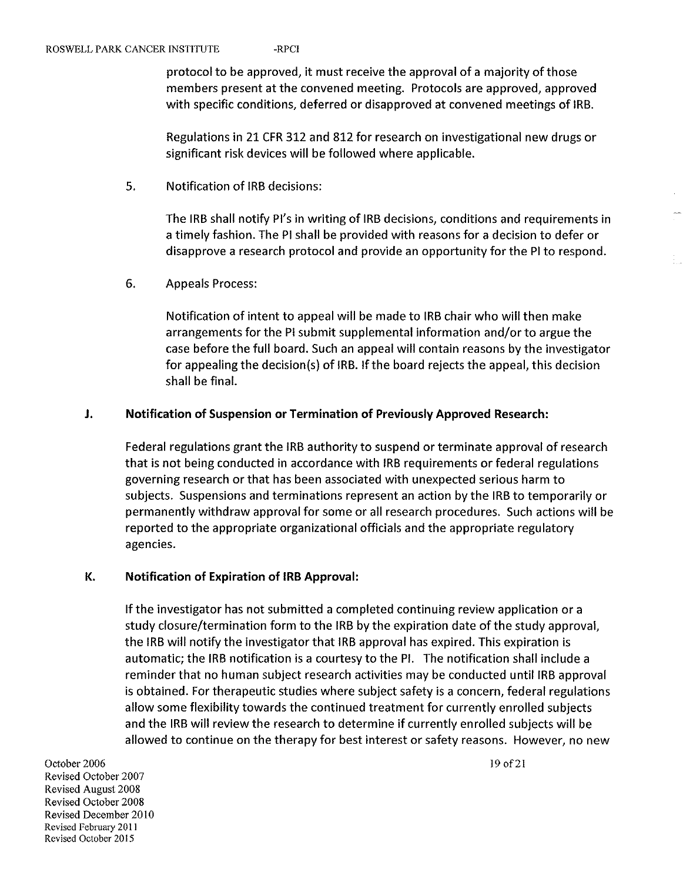protocol to be approved, it must receive the approval of a majority of those members present at the convened meeting. Protocols are approved, approved with specific conditions, deferred or disapproved at convened meetings of IRB.

Regulations in 21 CFR 312 and 812 for research on investigational new drugs or significant risk devices will be followed where applicable.

5. Notification of IRB decisions:

The IRB shall notify PI's in writing of IRB decisions, conditions and requirements in a timely fashion. The Pi shall be provided with reasons for a decision to defer or disapprove a research protocol and provide an opportunity for the PI to respond.

6. Appeals Process:

Notification of intent to appeal will be made to IRB chair who will then make arrangements for the PI submit supplemental information and/or to argue the case before the full board. Such an appeal will contain reasons by the investigator for appealing the decision(s) of IRB. If the board rejects the appeal, this decision shall be final.

### J. Notification of Suspension or Termination of Previously Approved Research:

Federal regulations grant the IRB authority to suspend or terminate approval of research that is not being conducted in accordance with IRB requirements or federal regulations governing research or that has been associated with unexpected serious harm to subjects. Suspensions and terminations represent an action by the IRB to temporarily or permanently withdraw approval for some or all research procedures. Such actions will be reported to the appropriate organizational officials and the appropriate regulatory agencies.

#### K. Notification of Expiration of IRB Approval:

If the investigator has not submitted a completed continuing review application or a study closure/termination form to the IRB by the expiration date of the study approval, the IRB will notify the investigator that IRB approval has expired. This expiration is automatic; the IRB notification is a courtesy to the PI. The notification shall include a reminder that no human subject research activities may be conducted until IRB approval is obtained. For therapeutic studies where subject safety is a concern, federal regulations allow some flexibility towards the continued treatment for currently enrolled subjects and the IRB will review the research to determine if currently enrolled subjects will be allowed to continue on the therapy for best interest or safety reasons. However, no new<br>October 2006 19 of 21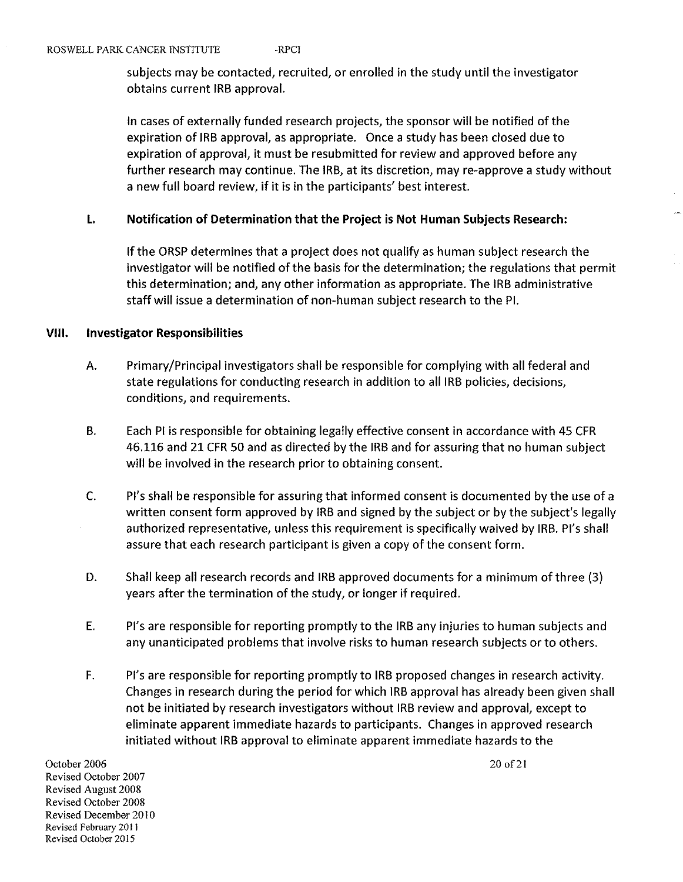subjects may be contacted, recruited, or enrolled in the study until the investigator obtains current IRB approval.

In cases of externally funded research projects, the sponsor will be notified of the expiration of IRB approval, as appropriate. Once a study has been closed due to expiration of approval, it must be resubmitted for review and approved before any further research may continue. The IRB, at its discretion, may re-approve a study without a new full board review, if it is in the participants' best interest.

#### L Notification of Determination that the Project is Not Human Subjects Research:

If the ORSP determines that a project does not qualify as human subject research the investigator will be notified of the basis for the determination; the regulations that permit this determination; and, any other information as appropriate. The IRB administrative staff will issue a determination of non-human subject research to the PI.

### VHi. investigator Responsibilities

- A. Primary/Principal investigators shall be responsible for complying with all federal and state regulations for conducting research in addition to all IRB policies, decisions, conditions, and requirements.
- B. Each PI is responsible for obtaining legally effective consent in accordance with 45 CFR 46.116 and 21 CFR 50 and as directed by the IRB and for assuring that no human subject will be involved in the research prior to obtaining consent.
- C. Pi's shall be responsible for assuring that informed consent is documented by the use of a written consent form approved by IRB and signed by the subject or by the subject's legally authorized representative, unless this requirement is specifically waived by IRB. PI's shall assure that each research participant is given a copy of the consent form.
- D. Shall keep all research records and IRB approved documents for a minimum of three (3) years after the termination of the study, or longer if required.
- E. Pi's are responsible for reporting promptly to the IRB any injuries to human subjects and any unanticipated problems that involve risks to human research subjects or to others.
- F. Pi's are responsible for reporting promptly to IRB proposed changes in research activity. Changes in research during the period for which IRB approval has already been given shall not be initiated by research investigators without IRB review and approval, except to eliminate apparent immediate hazards to participants. Changes in approved research initiated without IRB approval to eliminate apparent immediate hazards to the<br>October 2006 2007